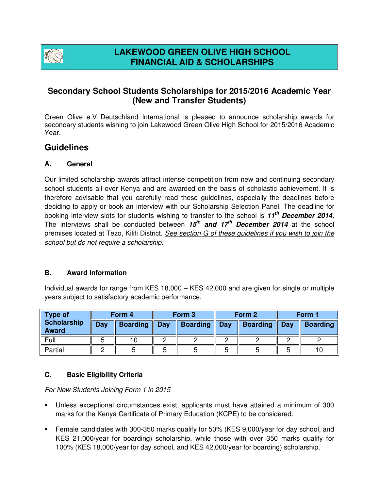

# **Secondary School Students Scholarships for 2015/2016 Academic Year (New and Transfer Students)**

Green Olive e.V Deutschland International is pleased to announce scholarship awards for secondary students wishing to join Lakewood Green Olive High School for 2015/2016 Academic Year.

# **Guidelines**

#### **A. General**

Our limited scholarship awards attract intense competition from new and continuing secondary school students all over Kenya and are awarded on the basis of scholastic achievement. It is therefore advisable that you carefully read these guidelines, especially the deadlines before deciding to apply or book an interview with our Scholarship Selection Panel. The deadline for booking interview slots for students wishing to transfer to the school is **11th December 2014.** The interviews shall be conducted between **15th and 17th December 2014** at the school premises located at Tezo, Kilifi District. See section G of these guidelines if you wish to join the school but do not require a scholarship.

#### **B. Award Information**

Individual awards for range from KES 18,000 – KES 42,000 and are given for single or multiple years subject to satisfactory academic performance.

| <b>Type of</b><br>Scholarship<br><b>Award</b> | Form 4 |                 | Form 3 |                 | Form 2 |                 | Form 1 |                 |
|-----------------------------------------------|--------|-----------------|--------|-----------------|--------|-----------------|--------|-----------------|
|                                               | Day    | <b>Boarding</b> | Day    | <b>Boarding</b> | Day    | <b>Boarding</b> | Day    | <b>Boarding</b> |
| Full                                          |        |                 |        |                 |        |                 |        |                 |
| Partial                                       |        |                 |        |                 |        |                 |        |                 |

#### **C. Basic Eligibility Criteria**

#### For New Students Joining Form 1 in 2015

- Unless exceptional circumstances exist, applicants must have attained a minimum of 300 marks for the Kenya Certificate of Primary Education (KCPE) to be considered.
- Female candidates with 300-350 marks qualify for 50% (KES 9,000/year for day school, and KES 21,000/year for boarding) scholarship, while those with over 350 marks qualify for 100% (KES 18,000/year for day school, and KES 42,000/year for boarding) scholarship.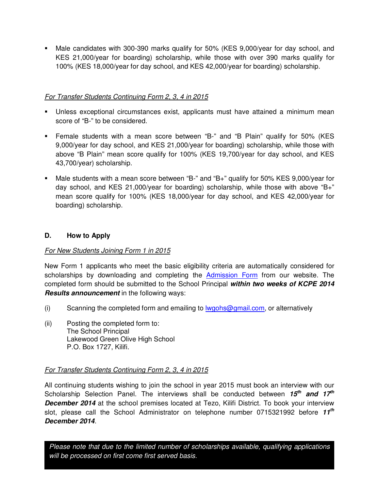Male candidates with 300-390 marks qualify for 50% (KES 9,000/year for day school, and KES 21,000/year for boarding) scholarship, while those with over 390 marks qualify for 100% (KES 18,000/year for day school, and KES 42,000/year for boarding) scholarship.

## For Transfer Students Continuing Form 2, 3, 4 in 2015

- Unless exceptional circumstances exist, applicants must have attained a minimum mean score of "B-" to be considered.
- Female students with a mean score between "B-" and "B Plain" qualify for 50% (KES 9,000/year for day school, and KES 21,000/year for boarding) scholarship, while those with above "B Plain" mean score qualify for 100% (KES 19,700/year for day school, and KES 43,700/year) scholarship.
- Male students with a mean score between "B-" and "B+" qualify for 50% KES 9,000/year for day school, and KES 21,000/year for boarding) scholarship, while those with above "B+" mean score qualify for 100% (KES 18,000/year for day school, and KES 42,000/year for boarding) scholarship.

## **D. How to Apply**

# For New Students Joining Form 1 in 2015

New Form 1 applicants who meet the basic eligibility criteria are automatically considered for scholarships by downloading and completing the Admission Form from our website. The completed form should be submitted to the School Principal **within two weeks of KCPE 2014 Results announcement** in the following ways:

- (i) Scanning the completed form and emailing to  $I_{\text{WQ}}$  mail.com, or alternatively
- (ii) Posting the completed form to: The School Principal Lakewood Green Olive High School P.O. Box 1727, Kilifi.

#### For Transfer Students Continuing Form 2, 3, 4 in 2015

All continuing students wishing to join the school in year 2015 must book an interview with our Scholarship Selection Panel. The interviews shall be conducted between **15th and 17th December 2014** at the school premises located at Tezo, Kilifi District. To book your interview slot, please call the School Administrator on telephone number 0715321992 before **11th December 2014**.

Please note that due to the limited number of scholarships available, qualifying applications will be processed on first come first served basis.